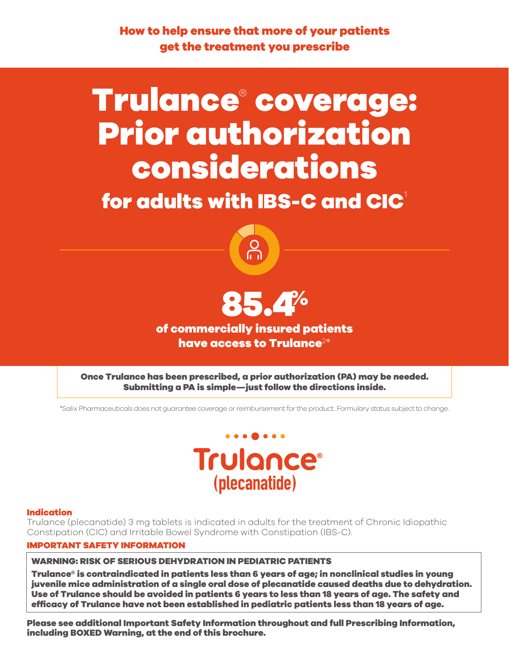How to help ensure that more of your patients get the treatment you prescribe

# Trulance® coverage: Prior authorization considerations

for adults with IBS-C and CIC $^{\dagger}$ 





of commercially insured patients have access to Trulance $^{2\ast}$ 

Once Trulance has been prescribed, a prior authorization (PA) may be needed. Submitting a PA is simple—just follow the directions inside.

\*Salix Pharmaceuticals does not guarantee coverage or reimbursement for the product. Formulary status subject to change.



# Indication

Trulance (plecanatide) 3 mg tablets is indicated in adults for the treatment of Chronic Idiopathic Constipation (CIC) and Irritable Bowel Syndrome with Constipation (IBS-C).

# IMPORTANT SAFETY INFORMATION

WARNING: RISK OF SERIOUS DEHYDRATION IN PEDIATRIC PATIENTS

Trulance® is contraindicated in patients less than 6 years of age; in nonclinical studies in young juvenile mice administration of a single oral dose of plecanatide caused deaths due to dehydration. Use of Trulance should be avoided in patients 6 years to less than 18 years of age. The safety and effcacy of Trulance have not been established in pediatric patients less than 18 years of age.

Please see additional Important Safety Information throughout and full Prescribing Information, including BOXED Warning, at the end of this brochure.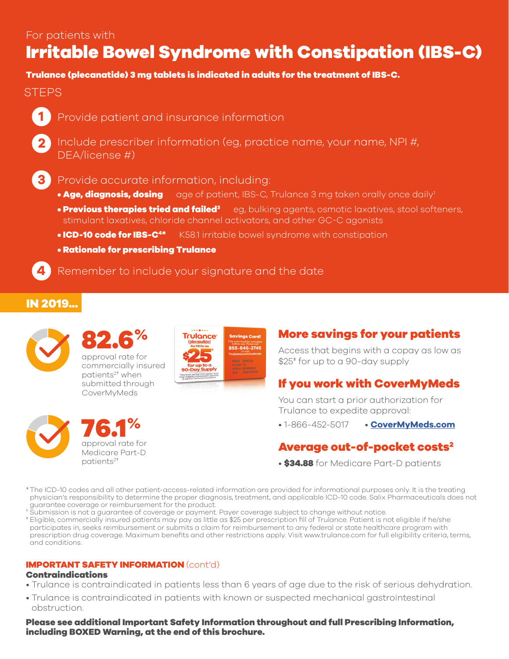# Irritable Bowel Syndrome with Constipation (IBS-C)

# Trulance (plecanatide) 3 mg tablets is indicated in adults for the treatment of IBS-C.

# **STEPS**



**2**

**3**

- Provide patient and insurance information
- Include prescriber information (eg, practice name, your name, NPI #, DEA/license #)
- Provide accurate information, including:
	- Age, diagnosis, dosing age of patient, IBS-C, Trulance 3 mg taken orally once daily<sup>1</sup>
	- Previous therapies tried and failed<sup>3</sup> eg, bulking agents, osmotic laxatives, stool softeners, stimulant laxatives, chloride channel activators, and other GC-C agonists
	- **ICD-10 code for IBS-C<sup>4\*</sup> K58.1 irritable bowel syndrome with constipation**
	- Rationale for prescribing Trulance

**4** Remember to include your signature and the date

# IN 2019...



patients<sup>2+</sup> when





approval rate for strong and the strong supply and the strong supply and the strong supply  $\frac{1}{2}$  for up to a 90-day supply commercially insured  $\frac{1}{2}$  for  $\frac{1}{2}$  for up to a 90-day supply

# submitted through **If you work with CoverMyMeds**<br>CoverMyMeds

You can start a prior authorization for Trulance to expedite approval:

**1-866-452-5017** • **[CoverMyMeds.com](https://CoverMyMeds.com)** • 1-866-452-5017

# approval rate for **Average out-of-pocket costs<sup>2</sup>**

- \$34.88 for Medicare Part-D patients
- \* The ICD-10 codes and all other patient-access-related information are provided for informational purposes only. It is the treating physician's responsibility to determine the proper diagnosis, treatment, and applicable ICD-10 code. Salix Pharmaceuticals does not guarantee coverage or reimbursement for the product.
- † Submission is not a guarantee of coverage or payment. Payer coverage subject to change without notice.
- ‡ Eligible, commercially insured patients may pay as little as \$25 per prescription fll of Trulance. Patient is not eligible if he/she participates in, seeks reimbursement or submits a claim for reimbursement to any federal or state healthcare program with prescription drug coverage. Maximum benefts and other restrictions apply. Visit<www.trulance.com> for full eligibility criteria, terms, and conditions.

# IMPORTANT SAFETY INFORMATION (cont'd)

# Contraindications

- Trulance is contraindicated in patients less than 6 years of age due to the risk of serious dehydration.
- Trulance is contraindicated in patients with known or suspected mechanical gastrointestinal obstruction.

Please see additional Important Safety Information throughout and full Prescribing Information, including BOXED Warning, at the end of this brochure.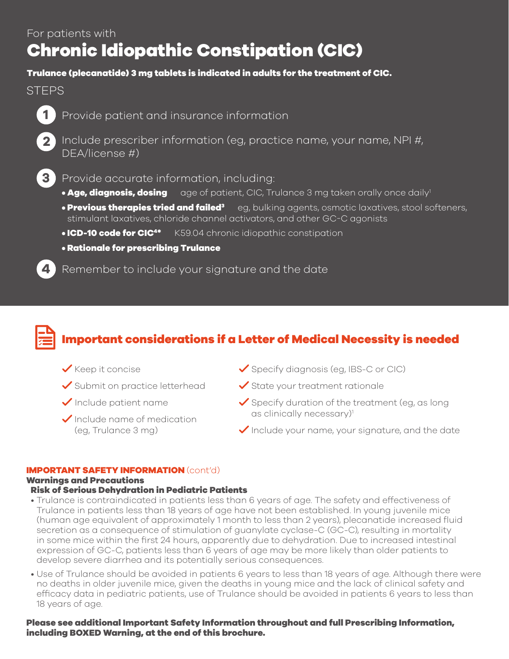# Chronic Idiopathic Constipation (CIC)

# Trulance (plecanatide) 3 mg tablets is indicated in adults for the treatment of CIC.

# **STEPS**



Provide patient and insurance information



**2** Include prescriber information (eg, practice name, your name, NPI #, DEA/license #)



Provide accurate information, including:

- Age, diagnosis, dosing age of patient, CIC, Trulance 3 mg taken orally once daily<sup>1</sup>
- $\bullet$  Previous therapies tried and failed $^3$ eg, bulking agents, osmotic laxatives, stool softeners, stimulant laxatives, chloride channel activators, and other GC-C agonists
- **ICD-10 code for CIC<sup>4\*</sup>** K59.04 chronic idiopathic constipation
- Rationale for prescribing Trulance

**4** Remember to include your signature and the date



# Important considerations if a Letter of Medical Necessity is needed

- 
- 
- 
- Include name of medication  $\qquad \qquad \text{as clinically necessary}$
- $\checkmark$  Keep it concise  $\checkmark$  Specify diagnosis (eg, IBS-C or CIC)
- $\checkmark$  Submit on practice letterhead  $\checkmark$  State your treatment rationale
	- Include patient name  $\bigvee$  Specify duration of the treatment (eg, as long
	- (eg, Trulance 3 mg)  $\bigvee$  Include your name, your signature, and the date

# IMPORTANT SAFETY INFORMATION (cont'd)

# Warnings and Precautions

# Risk of Serious Dehydration in Pediatric Patients

- Trulance is contraindicated in patients less than 6 years of age. The safety and effectiveness of Trulance in patients less than 18 years of age have not been established. In young juvenile mice (human age equivalent of approximately 1 month to less than 2 years), plecanatide increased fuid secretion as a consequence of stimulation of guanylate cyclase-C (GC-C), resulting in mortality in some mice within the frst 24 hours, apparently due to dehydration. Due to increased intestinal expression of GC-C, patients less than 6 years of age may be more likely than older patients to develop severe diarrhea and its potentially serious consequences.
- • Use of Trulance should be avoided in patients 6 years to less than 18 years of age. Although there were no deaths in older juvenile mice, given the deaths in young mice and the lack of clinical safety and effcacy data in pediatric patients, use of Trulance should be avoided in patients 6 years to less than 18 years of age.

Please see additional Important Safety Information throughout and full Prescribing Information, including BOXED Warning, at the end of this brochure.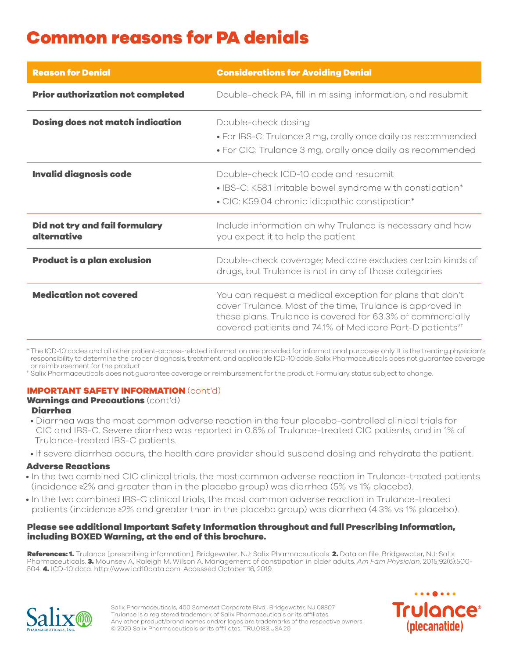# Common reasons for PA denials

| <b>Reason for Denial</b>                      | <b>Considerations for Avoiding Denial</b>                                                                                                                                                                                                                   |
|-----------------------------------------------|-------------------------------------------------------------------------------------------------------------------------------------------------------------------------------------------------------------------------------------------------------------|
| <b>Prior authorization not completed</b>      | Double-check PA, fill in missing information, and resubmit                                                                                                                                                                                                  |
| <b>Dosing does not match indication</b>       | Double-check dosing<br>• For IBS-C: Trulance 3 mg, orally once daily as recommended<br>• For CIC: Trulance 3 mg, orally once daily as recommended                                                                                                           |
| <b>Invalid diagnosis code</b>                 | Double-check ICD-10 code and resubmit<br>• IBS-C: K58.1 irritable bowel syndrome with constipation*<br>• CIC: K59.04 chronic idiopathic constipation*                                                                                                       |
| Did not try and fail formulary<br>alternative | Include information on why Trulance is necessary and how<br>you expect it to help the patient                                                                                                                                                               |
| <b>Product is a plan exclusion</b>            | Double-check coverage; Medicare excludes certain kinds of<br>drugs, but Trulance is not in any of those categories                                                                                                                                          |
| <b>Medication not covered</b>                 | You can request a medical exception for plans that don't<br>cover Trulance. Most of the time, Trulance is approved in<br>these plans. Trulance is covered for 63.3% of commercially<br>covered patients and 74.1% of Medicare Part-D patients <sup>2+</sup> |

 \* The ICD-10 codes and all other patient-access-related information are provided for informational purposes only. It is the treating physician's responsibility to determine the proper diagnosis, treatment, and applicable ICD-10 code. Salix Pharmaceuticals does not guarantee coverage or reimbursement for the product.

† Salix Pharmaceuticals does not guarantee coverage or reimbursement for the product. Formulary status subject to change.

# IMPORTANT SAFETY INFORMATION (cont'd)

# Warnings and Precautions (cont'd)

# Diarrhea

- Diarrhea was the most common adverse reaction in the four placebo-controlled clinical trials for CIC and IBS-C. Severe diarrhea was reported in 0.6% of Trulance-treated CIC patients, and in 1% of Trulance-treated IBS-C patients.
- If severe diarrhea occurs, the health care provider should suspend dosing and rehydrate the patient.

# Adverse Reactions

- In the two combined CIC clinical trials, the most common adverse reaction in Trulance-treated patients (incidence ≥2% and greater than in the placebo group) was diarrhea (5% vs 1% placebo).
- In the two combined IBS-C clinical trials, the most common adverse reaction in Trulance-treated patients (incidence ≥2% and greater than in the placebo group) was diarrhea (4.3% vs 1% placebo).

# Please see additional Important Safety Information throughout and full Prescribing Information, including BOXED Warning, at the end of this brochure.

References: 1. Trulance [prescribing information]. Bridgewater, NJ: Salix Pharmaceuticals. 2. Data on file. Bridgewater, NJ: Salix Pharmaceuticals. 3. Mounsey A, Raleigh M, Wilson A. Management of constipation in older adults. *Am Fam Physician*. 2015;92(6):500- 504. 4. ICD-10 data.<http://www.icd10data.com>. Accessed October 16, 2019.



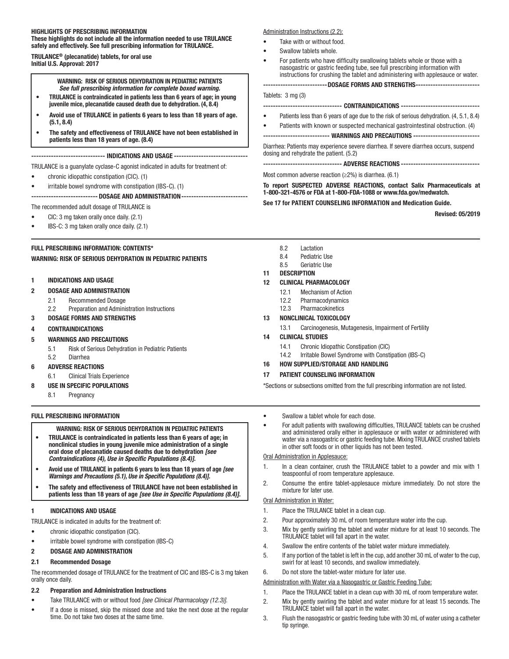#### HIGHLIGHTS OF PRESCRIBING INFORMATION These highlights do not include all the information needed to use TRULANCE safely and effectively. See full prescribing information for TRULANCE.

TRULANCE® (plecanatide) tablets, for oral use Initial U.S. Approval: 2017

#### WARNING: RISK OF SERIOUS DEHYDRATION IN PEDIATRIC PATIENTS *See full prescribing information for complete boxed warning.*

- TRULANCE is contraindicated in patients less than 6 years of age; in young juvenile mice, plecanatide caused death due to dehydration. (4, 8.4)
- Avoid use of TRULANCE in patients 6 years to less than 18 years of age. (5.1, 8.4)
- The safety and effectiveness of TRULANCE have not been established in patients less than 18 years of age. (8.4)

------------------------------ INDICATIONS AND USAGE ------------------------------

TRULANCE is a guanylate cyclase-C agonist indicated in adults for treatment of:

- chronic idiopathic constipation (CIC). (1)
- irritable bowel syndrome with constipation (IBS-C). (1)

### --------------------------- DOSAGE AND ADMINISTRATION---------------------------

- The recommended adult dosage of TRULANCE is
- CIC: 3 mg taken orally once daily. (2.1)
- IBS-C: 3 mg taken orally once daily. (2.1)

#### FULL PRESCRIBING INFORMATION: CONTENTS\*

WARNING: RISK OF SERIOUS DEHYDRATION IN PEDIATRIC PATIENTS

#### 1 INDICATIONS AND USAGE

#### 2 DOSAGE AND ADMINISTRATION

- 2.1 Recommended Dosage
- 2.2 Preparation and Administration Instructions

#### 3 DOSAGE FORMS AND STRENGTHS

#### 4 CONTRAINDICATIONS

- 5 WARNINGS AND PRECAUTIONS
	- 5.1 Risk of Serious Dehydration in Pediatric Patients
- 5.2 Diarrhea

#### 6 ADVERSE REACTIONS

- 6.1 Clinical Trials Experience
- 8 USE IN SPECIFIC POPULATIONS
	- 8.1 Pregnancy

#### FULL PRESCRIBING INFORMATION

WARNING: RISK OF SERIOUS DEHYDRATION IN PEDIATRIC PATIENTS

- TRULANCE is contraindicated in patients less than 6 years of age; in nonclinical studies in young juvenile mice administration of a single oral dose of plecanatide caused deaths due to dehydration *[see Contraindications (4), Use in Specifc Populations (8.4)]*.
- Avoid use of TRULANCE in patients 6 years to less than 18 years of age *[see Warnings and Precautions (5.1), Use in Specifc Populations (8.4)]*.
- The safety and effectiveness of TRULANCE have not been established in patients less than 18 years of age *[see Use in Specifc Populations (8.4)]*.

#### 1 INDICATIONS AND USAGE

TRULANCE is indicated in adults for the treatment of:

- chronic idiopathic constipation (CIC).
- irritable bowel syndrome with constipation (IBS-C)
- 2 DOSAGE AND ADMINISTRATION

#### 2.1 Recommended Dosage

The recommended dosage of TRULANCE for the treatment of CIC and IBS-C is 3 mg taken orally once daily.

#### 2.2 Preparation and Administration Instructions

- Take TRULANCE with or without food [see Clinical Pharmacology (12.3)].
- If a dose is missed, skip the missed dose and take the next dose at the regular time. Do not take two doses at the same time.

#### Administration Instructions (2.2):

- Take with or without food.
- Swallow tablets whole.
- For patients who have difficulty swallowing tablets whole or those with a nasogastric or gastric feeding tube, see full prescribing information with instructions for crushing the tablet and administering with applesauce or water.

--------------------------DOSAGE FORMS AND STRENGTHS--------------------------

#### Tablets: 3 mg (3)

#### -------------------------------- CONTRAINDICATIONS --------------------------------

- Patients less than 6 years of age due to the risk of serious dehydration. (4, 5.1, 8.4)
- Patients with known or suspected mechanical gastrointestinal obstruction. (4)

--------------------------- WARNINGS AND PRECAUTIONS ---------------------------

Diarrhea: Patients may experience severe diarrhea. If severe diarrhea occurs, suspend dosing and rehydrate the patient. (5.2)

----------------------------- ADVERSE REACTIONS ---------------------------------

Most common adverse reaction (≥2%) is diarrhea. (6.1)

To report SUSPECTED ADVERSE REACTIONS, contact Salix Pharmaceuticals at 1-800-321-4576 or FDA at 1-800-FDA-1088 or [www.fda.gov/medwatch.](www.fda.gov/medwatch)

# See 17 for PATIENT COUNSELING INFORMATION and Medication Guide.

Revised: 05/2019

- 8.2 Lactation
- 8.4 Pediatric Use
- 8.5 Geriatric Use
- 11 DESCRIPTION

# 12 CLINICAL PHARMACOLOGY

- 12.1 Mechanism of Action
- 
- 12.2 Pharmacodynamics 12.3 Pharmacokinetics
- 

## 13 NONCLINICAL TOXICOLOGY

#### 13.1 Carcinogenesis, Mutagenesis, Impairment of Fertility

#### 14 CLINICAL STUDIES

- 14.1 Chronic Idiopathic Constipation (CIC)
- 14.2 Irritable Bowel Syndrome with Constipation (IBS-C)

#### 16 HOW SUPPLIED/STORAGE AND HANDLING

#### 17 PATIENT COUNSELING INFORMATION

\*Sections or subsections omitted from the full prescribing information are not listed.

- Swallow a tablet whole for each dose.
- For adult patients with swallowing difficulties, TRULANCE tablets can be crushed and administered orally either in applesauce or with water or administered with water via a nasogastric or gastric feeding tube. Mixing TRULANCE crushed tablets in other soft foods or in other liquids has not been tested.

#### Oral Administration in Applesauce:

- 1. In a clean container, crush the TRULANCE tablet to a powder and mix with 1 teaspoonful of room temperature applesauce.
- 2. Consume the entire tablet-applesauce mixture immediately. Do not store the mixture for later use.

#### Oral Administration in Water:

- 1. Place the TRULANCE tablet in a clean cup.
- 2. Pour approximately 30 mL of room temperature water into the cup.
- 3. Mix by gently swirling the tablet and water mixture for at least 10 seconds. The TRULANCE tablet will fall apart in the water.
- 4. Swallow the entire contents of the tablet water mixture immediately.
- 5. If any portion of the tablet is left in the cup, add another 30 mL of water to the cup, swirl for at least 10 seconds, and swallow immediately.
- 6. Do not store the tablet-water mixture for later use.

#### Administration with Water via a Nasogastric or Gastric Feeding Tube:

- 1. Place the TRULANCE tablet in a clean cup with 30 mL of room temperature water.
- 2. Mix by gently swirling the tablet and water mixture for at least 15 seconds. The TRULANCE tablet will fall apart in the water.
- 3. Flush the nasogastric or gastric feeding tube with 30 mL of water using a catheter tip syringe.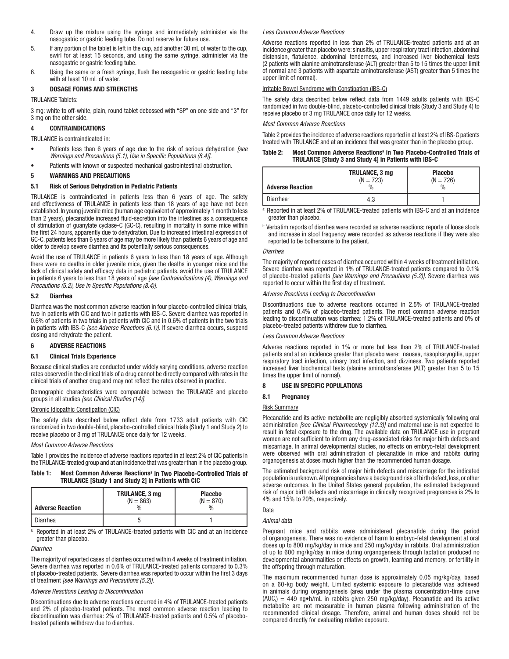- 4. Draw up the mixture using the syringe and immediately administer via the nasogastric or gastric feeding tube. Do not reserve for future use.
- 5. If any portion of the tablet is left in the cup, add another 30 mL of water to the cup, swirl for at least 15 seconds, and using the same syringe, administer via the nasogastric or gastric feeding tube.
- 6. Using the same or a fresh syringe, fush the nasogastric or gastric feeding tube with at least 10 mL of water.

#### 3 DOSAGE FORMS AND STRENGTHS

TRULANCE Tablets:

 3 mg: white to off-white, plain, round tablet debossed with "SP" on one side and "3" for 3 mg on the other side.

#### 4 CONTRAINDICATIONS

TRULANCE is contraindicated in:

- Patients less than 6 years of age due to the risk of serious dehydration [see Warnings and Precautions (5.1), Use in Specific Populations (8.4)].
- Patients with known or suspected mechanical gastrointestinal obstruction.

#### 5 WARNINGS AND PRECAUTIONS

#### 5.1 Risk of Serious Dehydration in Pediatric Patients

 TRULANCE is contraindicated in patients less than 6 years of age. The safety and effectiveness of TRULANCE in patients less than 18 years of age have not been established. In young juvenile mice (human age equivalent of approximately 1 month to less than 2 years), plecanatide increased fuid-secretion into the intestines as a consequence of stimulation of guanylate cyclase-C (GC-C), resulting in mortality in some mice within the frst 24 hours, apparently due to dehydration. Due to increased intestinal expression of GC-C, patients less than 6 years of age may be more likely than patients 6 years of age and older to develop severe diarrhea and its potentially serious consequences.

Avoid the use of TRULANCE in patients 6 years to less than 18 years of age. Although there were no deaths in older juvenile mice, given the deaths in younger mice and the lack of clinical safety and efficacy data in pediatric patients, avoid the use of TRULANCE in patients 6 years to less than 18 years of age [see Contraindications (4), Warnings and Precautions (5.2), Use in Specific Populations (8.4)].

#### 5.2 Diarrhea

Diarrhea was the most common adverse reaction in four placebo-controlled clinical trials, two in patients with CIC and two in patients with IBS-C. Severe diarrhea was reported in 0.6% of patients in two trials in patients with CIC and in 0.6% of patients in the two trials in patients with IBS-C [see Adverse Reactions (6.1)]. If severe diarrhea occurs, suspend dosing and rehydrate the patient.

#### 6 ADVERSE REACTIONS

#### 6.1 Clinical Trials Experience

Because clinical studies are conducted under widely varying conditions, adverse reaction rates observed in the clinical trials of a drug cannot be directly compared with rates in the clinical trials of another drug and may not refect the rates observed in practice.

Demographic characteristics were comparable between the TRULANCE and placebo groups in all studies [see Clinical Studies (14)].

#### Chronic Idiopathic Constipation (CIC)

The safety data described below reflect data from 1733 adult patients with CIC randomized in two double-blind, placebo-controlled clinical trials (Study 1 and Study 2) to receive placebo or 3 mg of TRULANCE once daily for 12 weeks.

#### Most Common Adverse Reactions

Table 1 provides the incidence of adverse reactions reported in at least 2% of CIC patients in the TRULANCE-treated group and at an incidence that was greater than in the placebo group.

#### Table 1: Most Common Adverse Reactions<sup>a</sup> in Two Placebo-Controlled Trials of TRULANCE [Study 1 and Study 2] in Patients with CIC

| <b>Adverse Reaction</b> | TRULANCE, 3 mg<br>$(N = 863)$<br>$\%$ | <b>Placebo</b><br>$(N = 870)$<br>$\%$ |
|-------------------------|---------------------------------------|---------------------------------------|
| Diarrhea                |                                       |                                       |

Reported in at least 2% of TRULANCE-treated patients with CIC and at an incidence greater than placebo.

#### **Diarrhea**

 of placebo-treated patients. Severe diarrhea was reported to occur within the frst 3 days The majority of reported cases of diarrhea occurred within 4 weeks of treatment initiation. Severe diarrhea was reported in 0.6% of TRULANCE-treated patients compared to 0.3% of treatment [see Warnings and Precautions (5.2)].

#### Adverse Reactions Leading to Discontinuation

Discontinuations due to adverse reactions occurred in 4% of TRULANCE-treated patients and 2% of placebo-treated patients. The most common adverse reaction leading to discontinuation was diarrhea: 2% of TRULANCE-treated patients and 0.5% of placebotreated patients withdrew due to diarrhea.

#### Less Common Adverse Reactions

 incidence greater than placebo were: sinusitis, upper respiratory tract infection, abdominal distension, fatulence, abdominal tenderness, and increased liver biochemical tests Adverse reactions reported in less than 2% of TRULANCE-treated patients and at an (2 patients with alanine aminotransferase (ALT) greater than 5 to 15 times the upper limit of normal and 3 patients with aspartate aminotransferase (AST) greater than 5 times the upper limit of normal).

#### Irritable Bowel Syndrome with Constipation (IBS-C)

The safety data described below refect data from 1449 adults patients with IBS-C randomized in two double-blind, placebo-controlled clinical trials (Study 3 and Study 4) to receive placebo or 3 mg TRULANCE once daily for 12 weeks.

#### Most Common Adverse Reactions

Table 2 provides the incidence of adverse reactions reported in at least 2% of IBS-C patients treated with TRULANCE and at an incidence that was greater than in the placebo group.

#### Table 2: Most Common Adverse Reactions<sup>a</sup> in Two Placebo-Controlled Trials of TRULANCE [Study 3 and Study 4] in Patients with IBS-C

| <b>Adverse Reaction</b> | <b>TRULANCE, 3 mg</b><br>$(N = 723)$<br>% | <b>Placebo</b><br>$(N = 726)$<br>$\frac{0}{0}$ |
|-------------------------|-------------------------------------------|------------------------------------------------|
| Diarrheab               | 4.3                                       |                                                |

a: Reported in at least 2% of TRULANCE-treated patients with IBS-C and at an incidence greater than placebo.

b: Verbatim reports of diarrhea were recorded as adverse reactions; reports of loose stools and increase in stool frequency were recorded as adverse reactions if they were also reported to be bothersome to the patient.

#### Diarrhea

The majority of reported cases of diarrhea occurred within 4 weeks of treatment initiation. Severe diarrhea was reported in 1% of TRULANCE-treated patients compared to 0.1% of placebo-treated patients [see Warnings and Precautions (5.2)]. Severe diarrhea was reported to occur within the first day of treatment.

#### Adverse Reactions Leading to Discontinuation

Discontinuations due to adverse reactions occurred in 2.5% of TRULANCE-treated patients and 0.4% of placebo-treated patients. The most common adverse reaction leading to discontinuation was diarrhea: 1.2% of TRULANCE-treated patients and 0% of placebo-treated patients withdrew due to diarrhea.

#### Less Common Adverse Reactions

 patients and at an incidence greater than placebo were: nausea, nasopharyngitis, upper Adverse reactions reported in 1% or more but less than 2% of TRULANCE-treated respiratory tract infection, urinary tract infection, and dizziness. Two patients reported increased liver biochemical tests (alanine aminotransferase (ALT) greater than 5 to 15 times the upper limit of normal).

#### 8 USE IN SPECIFIC POPULATIONS

#### 8.1 Pregnancy

#### Risk Summary

Plecanatide and its active metabolite are negligibly absorbed systemically following oral administration [see Clinical Pharmacology (12.3)] and maternal use is not expected to result in fetal exposure to the drug. The available data on TRULANCE use in pregnant women are not sufficient to inform any drug-associated risks for major birth defects and miscarriage. In animal developmental studies, no effects on embryo-fetal development were observed with oral administration of plecanatide in mice and rabbits during organogenesis at doses much higher than the recommended human dosage.

population is unknown. All pregnancies have a background risk of birth defect, loss, or other The estimated background risk of major birth defects and miscarriage for the indicated adverse outcomes. In the United States general population, the estimated background risk of major birth defects and miscarriage in clinically recognized pregnancies is 2% to 4% and 15% to 20%, respectively.

# Data

## Animal data

Pregnant mice and rabbits were administered plecanatide during the period of organogenesis. There was no evidence of harm to embryo-fetal development at oral doses up to 800 mg/kg/day in mice and 250 mg/kg/day in rabbits. Oral administration of up to 600 mg/kg/day in mice during organogenesis through lactation produced no developmental abnormalities or effects on growth, learning and memory, or fertility in the offspring through maturation.

The maximum recommended human dose is approximately 0.05 mg/kg/day, based on a 60-kg body weight. Limited systemic exposure to plecanatide was achieved in animals during organogenesis (area under the plasma concentration-time curve  $(AUC_i) = 449$  ng•h/mL in rabbits given 250 mg/kg/day). Plecanatide and its active metabolite are not measurable in human plasma following administration of the recommended clinical dosage. Therefore, animal and human doses should not be compared directly for evaluating relative exposure.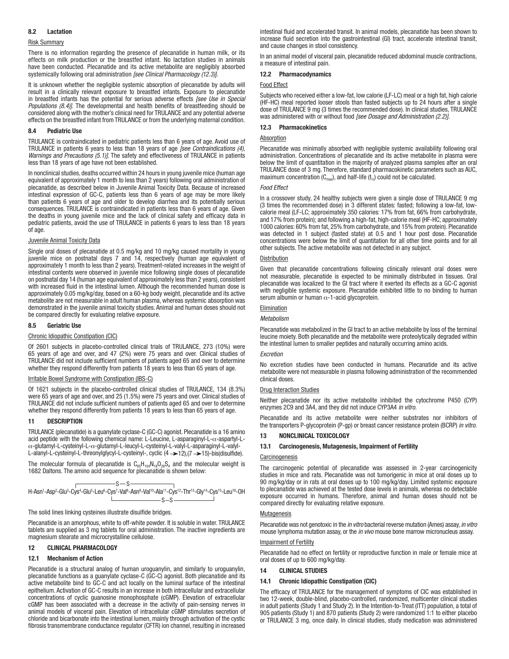#### 8.2 Lactation

#### Risk Summary

There is no information regarding the presence of plecanatide in human milk, or its effects on milk production or the breastfed infant. No lactation studies in animals have been conducted. Plecanatide and its active metabolite are negligibly absorbed systemically following oral administration [see Clinical Pharmacology (12.3)]

It is unknown whether the negligible systemic absorption of plecanatide by adults will result in a clinically relevant exposure to breastfed infants. Exposure to plecanatide in breastfed infants has the potential for serious adverse effects [see Use in Special Populations (8.4)]. The developmental and health benefits of breastfeeding should be considered along with the mother's clinical need for TRULANCE and any potential adverse effects on the breastfed infant from TRULANCE or from the underlying maternal condition.

#### 8.4 Pediatric Use

TRULANCE is contraindicated in pediatric patients less than 6 years of age. Avoid use of TRULANCE in patients 6 years to less than 18 years of age [see Contraindications (4), Warnings and Precautions (5.1)]. The safety and effectiveness of TRULANCE in patients less than 18 years of age have not been established.

In nonclinical studies, deaths occurred within 24 hours in young juvenile mice (human age equivalent of approximately 1 month to less than 2 years) following oral administration of plecanatide, as described below in Juvenile Animal Toxicity Data. Because of increased intestinal expression of GC-C, patients less than 6 years of age may be more likely than patients 6 years of age and older to develop diarrhea and its potentially serious consequences. TRULANCE is contraindicated in patients less than 6 years of age. Given the deaths in young juvenile mice and the lack of clinical safety and efficacy data in pediatric patients, avoid the use of TRULANCE in patients 6 years to less than 18 years of age.

#### Juvenile Animal Toxicity Data

Single oral doses of plecanatide at 0.5 mg/kg and 10 mg/kg caused mortality in young juvenile mice on postnatal days 7 and 14, respectively (human age equivalent of approximately 1 month to less than 2 years). Treatment-related increases in the weight of intestinal contents were observed in juvenile mice following single doses of plecanatide on postnatal day 14 (human age equivalent of approximately less than 2 years), consistent with increased fuid in the intestinal lumen. Although the recommended human dose is approximately 0.05 mg/kg/day, based on a 60-kg body weight, plecanatide and its active metabolite are not measurable in adult human plasma, whereas systemic absorption was demonstrated in the juvenile animal toxicity studies. Animal and human doses should not be compared directly for evaluating relative exposure.

#### 8.5 Geriatric Use

#### Chronic Idiopathic Constipation (CIC)

Of 2601 subjects in placebo-controlled clinical trials of TRULANCE, 273 (10%) were 65 years of age and over, and 47 (2%) were 75 years and over. Clinical studies of TRULANCE did not include sufficient numbers of patients aged 65 and over to determine whether they respond differently from patients 18 years to less than 65 years of age.

#### Irritable Bowel Syndrome with Constipation (IBS-C)

Of 1621 subjects in the placebo-controlled clinical studies of TRULANCE, 134 (8.3%) were 65 years of age and over, and 25 (1.5%) were 75 years and over. Clinical studies of TRULANCE did not include sufficient numbers of patients aged 65 and over to determine whether they respond differently from patients 18 years to less than 65 years of age.

#### **DESCRIPTION**

acid peptide with the following chemical name: L-Leucine, L-asparaginyl-L- $\alpha$ -aspartyl-L-TRULANCE (plecanatide) is a guanylate cyclase-C (GC-C) agonist. Plecanatide is a 16 amino α-glutamyl-L-cysteinyl-L-α-glutamyl-L-leucyl-L-cysteinyl-L-valyl-L-asparaginyl-L-valyl-L-alanyl-L-cysteinyl-L-threonylglycyl-L-cysteinyl-, cyclic (4 > 12),(7 > 15)-bis(disulfide).

The molecular formula of plecanatide is  $C_{65}H_{104}N_{18}O_{26}S_4$  and the molecular weight is 1682 Daltons. The amino acid sequence for plecanatide is shown below:

$$
H\text{-Asn'-Asp^2-Glu^3-Cys^4-Glu^5-Leu^6-Cys^7-Val^8-Asn^9-Val^{10}-Ala^{11}-Cys^{12}-Thr^{13}-Gly^{14}-Cys^{15}-Leu^{16}-OH\\
$$

#### The solid lines linking cysteines illustrate disulfide bridges.

Plecanatide is an amorphous, white to off-white powder. It is soluble in water. TRULANCE tablets are supplied as 3 mg tablets for oral administration. The inactive ingredients are magnesium stearate and microcrystalline cellulose.

#### 12 CLINICAL PHARMACOLOGY

#### 12.1 Mechanism of Action

Plecanatide is a structural analog of human uroguanylin, and similarly to uroguanylin, plecanatide functions as a guanylate cyclase-C (GC-C) agonist. Both plecanatide and its active metabolite bind to GC-C and act locally on the luminal surface of the intestinal epithelium. Activation of GC-C results in an increase in both intracellular and extracellular concentrations of cyclic guanosine monophosphate (cGMP). Elevation of extracellular cGMP has been associated with a decrease in the activity of pain-sensing nerves in animal models of visceral pain. Elevation of intracellular cGMP stimulates secretion of chloride and bicarbonate into the intestinal lumen, mainly through activation of the cystic fbrosis transmembrane conductance regulator (CFTR) ion channel, resulting in increased intestinal fuid and accelerated transit. In animal models, plecanatide has been shown to increase fuid secretion into the gastrointestinal (GI) tract, accelerate intestinal transit, and cause changes in stool consistency.

In an animal model of visceral pain, plecanatide reduced abdominal muscle contractions, a measure of intestinal pain.

#### 12.2 Pharmacodynamics

#### Food Effect

Subjects who received either a low-fat, low calorie (LF-LC) meal or a high fat, high calorie (HF-HC) meal reported looser stools than fasted subjects up to 24 hours after a single dose of TRULANCE 9 mg (3 times the recommended dose). In clinical studies, TRULANCE was administered with or without food [see Dosage and Administration (2.2)].

#### 12.3 Pharmacokinetics

#### Absorption

 TRULANCE dose of 3 mg. Therefore, standard pharmacokinetic parameters such as AUC, Plecanatide was minimally absorbed with negligible systemic availability following oral administration. Concentrations of plecanatide and its active metabolite in plasma were below the limit of quantitation in the majority of analyzed plasma samples after an oral maximum concentration  $(C_{\text{max}})$ , and half-life  $(t_{\text{fs}})$  could not be calculated.

#### Food Effect

In a crossover study, 24 healthy subjects were given a single dose of TRULANCE 9 mg (3 times the recommended dose) in 3 different states: fasted; following a low-fat, lowcalorie meal (LF-LC; approximately 350 calories: 17% from fat, 66% from carbohydrate, and 17% from protein); and following a high-fat, high-calorie meal (HF-HC; approximately 1000 calories: 60% from fat, 25% from carbohydrate, and 15% from protein). Plecanatide was detected in 1 subject (fasted state) at 0.5 and 1 hour post dose. Plecanatide concentrations were below the limit of quantitation for all other time points and for all other subjects. The active metabolite was not detected in any subject.

#### **Distribution**

Given that plecanatide concentrations following clinically relevant oral doses were not measurable, plecanatide is expected to be minimally distributed in tissues. Oral plecanatide was localized to the GI tract where it exerted its effects as a GC-C agonist with negligible systemic exposure. Plecanatide exhibited little to no binding to human serum albumin or human  $\alpha$ -1-acid glycoprotein.

#### Elimination

#### Metabolism

Plecanatide was metabolized in the GI tract to an active metabolite by loss of the terminal leucine moiety. Both plecanatide and the metabolite were proteolytically degraded within the intestinal lumen to smaller peptides and naturally occurring amino acids.

#### Excretion

No excretion studies have been conducted in humans. Plecanatide and its active metabolite were not measurable in plasma following administration of the recommended clinical doses.

#### **Drug Interaction Studies**

Neither plecanatide nor its active metabolite inhibited the cytochrome P450 (CYP) enzymes 2C9 and 3A4, and they did not induce CYP3A4 in vitro.

Plecanatide and its active metabolite were neither substrates nor inhibitors of the transporters P-glycoprotein (P-gp) or breast cancer resistance protein (BCRP) in vitro.

#### 13 NONCLINICAL TOXICOLOGY

#### 13.1 Carcinogenesis, Mutagenesis, Impairment of Fertility

#### **Carcinogenesis**

 exposure occurred in humans. Therefore, animal and human doses should not be The carcinogenic potential of plecanatide was assessed in 2-year carcinogenicity studies in mice and rats. Plecanatide was not tumorigenic in mice at oral doses up to 90 mg/kg/day or in rats at oral doses up to 100 mg/kg/day. Limited systemic exposure to plecanatide was achieved at the tested dose levels in animals, whereas no detectable compared directly for evaluating relative exposure.

#### **Mutagenesis**

Plecanatide was not genotoxic in the *in vitro* bacterial reverse mutation (Ames) assay, *in vitro* mouse lymphoma mutation assay, or the *in vivo* mouse bone marrow micronucleus assay.

#### Impairment of Fertility

Plecanatide had no effect on fertility or reproductive function in male or female mice at oral doses of up to 600 mg/kg/day.

#### 14 CLINICAL STUDIES

#### 14.1 Chronic Idiopathic Constipation (CIC)

 two 12-week, double-blind, placebo-controlled, randomized, multicenter clinical studies or TRULANCE 3 mg, once daily. In clinical studies, study medication was administered The efficacy of TRULANCE for the management of symptoms of CIC was established in in adult patients (Study 1 and Study 2). In the Intention-to-Treat (ITT) population, a total of 905 patients (Study 1) and 870 patients (Study 2) were randomized 1:1 to either placebo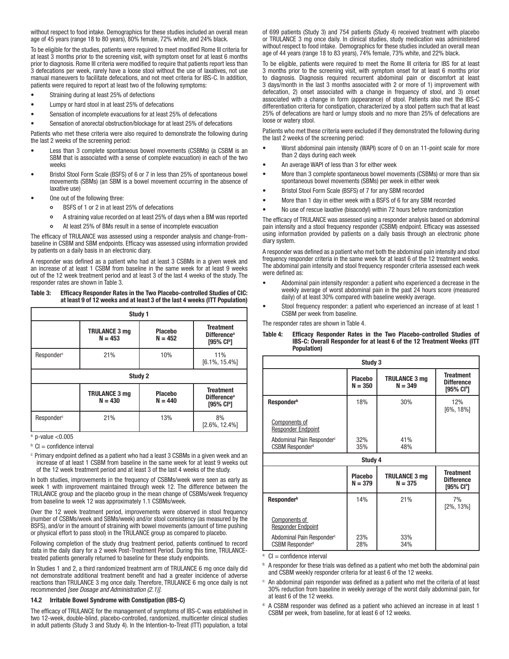without respect to food intake. Demographics for these studies included an overall mean age of 45 years (range 18 to 80 years), 80% female, 72% white, and 24% black.

To be eligible for the studies, patients were required to meet modifed Rome III criteria for at least 3 months prior to the screening visit, with symptom onset for at least 6 months prior to diagnosis. Rome III criteria were modifed to require that patients report less than 3 defecations per week, rarely have a loose stool without the use of laxatives, not use manual maneuvers to facilitate defecations, and not meet criteria for IBS-C. In addition, patients were required to report at least two of the following symptoms:

- Straining during at least 25% of defections
- Lumpy or hard stool in at least 25% of defecations
- Sensation of incomplete evacuations for at least 25% of defecations
- Sensation of anorectal obstruction/blockage for at least 25% of defecations

Patients who met these criteria were also required to demonstrate the following during the last 2 weeks of the screening period:

- Less than 3 complete spontaneous bowel movements (CSBMs) (a CSBM is an SBM that is associated with a sense of complete evacuation) in each of the two weeks
- Bristol Stool Form Scale (BSFS) of 6 or 7 in less than 25% of spontaneous bowel movements (SBMs) (an SBM is a bowel movement occurring in the absence of laxative use
- One out of the following three:
	- BSFS of 1 or 2 in at least 25% of defecations  $\circ$
	- A straining value recorded on at least 25% of days when a BM was reported  $\circ$
	- $\circ$ At least 25% of BMs result in a sense of incomplete evacuation

The efficacy of TRULANCE was assessed using a responder analysis and change-frombaseline in CSBM and SBM endpoints. Efficacy was assessed using information provided by patients on a daily basis in an electronic diary.

A responder was defned as a patient who had at least 3 CSBMs in a given week and an increase of at least 1 CSBM from baseline in the same week for at least 9 weeks out of the 12 week treatment period and at least 3 of the last 4 weeks of the study. The responder rates are shown in Table 3.

#### Table 3: Effcacy Responder Rates in the Two Placebo-controlled Studies of CIC: at least 9 of 12 weeks and at least 3 of the last 4 weeks (ITT Population)

| Study 1                |                                   |                             |                                                                              |
|------------------------|-----------------------------------|-----------------------------|------------------------------------------------------------------------------|
|                        | <b>TRULANCE 3 mg</b><br>$N = 453$ | <b>Placebo</b><br>$N = 452$ | <b>Treatment</b><br>Difference <sup>a</sup><br>$[95%$ CI <sup>b</sup> ]      |
| Responder <sup>c</sup> | 21%                               | 10%                         | 11%<br>$[6.1\%, 15.4\%]$                                                     |
| Study 2                |                                   |                             |                                                                              |
|                        | <b>TRULANCE 3 mg</b><br>$N = 430$ | <b>Placebo</b><br>$N = 440$ | <b>Treatment</b><br><b>Difference</b> <sup>a</sup><br>[95% CI <sup>b</sup> ] |
| Responder <sup>c</sup> | 21%                               | 13%                         | 8%<br>$[2.6\%, 12.4\%]$                                                      |

 $a: p-value < 0.005$ 

- $b: Cl =$  confidence interval
- c: Primary endpoint defned as a patient who had a least 3 CSBMs in a given week and an increase of at least 1 CSBM from baseline in the same week for at least 9 weeks out of the 12 week treatment period and at least 3 of the last 4 weeks of the study.

In both studies, improvements in the frequency of CSBMs/week were seen as early as week 1 with improvement maintained through week 12. The difference between the TRULANCE group and the placebo group in the mean change of CSBMs/week frequency from baseline to week 12 was approximately 1.1 CSBMs/week.

Over the 12 week treatment period, improvements were observed in stool frequency (number of CSBMs/week and SBMs/week) and/or stool consistency (as measured by the BSFS), and/or in the amount of straining with bowel movements (amount of time pushing or physical effort to pass stool) in the TRULANCE group as compared to placebo.

Following completion of the study drug treatment period, patients continued to record data in the daily diary for a 2 week Post-Treatment Period. During this time, TRULANCEtreated patients generally returned to baseline for these study endpoints.

 reactions than TRULANCE 3 mg once daily. Therefore, TRULANCE 6 mg once daily is not In Studies 1 and 2, a third randomized treatment arm of TRULANCE 6 mg once daily did not demonstrate additional treatment benefit and had a greater incidence of adverse recommended [see Dosage and Administration (2.1)].

#### 14.2 Irritable Bowel Syndrome with Constipation (IBS-C)

 two 12-week, double-blind, placebo-controlled, randomized, multicenter clinical studies The efficacy of TRULANCE for the management of symptoms of IBS-C was established in in adult patients (Study 3 and Study 4). In the Intention-to-Treat (ITT) population, a total

 without respect to food intake. Demographics for these studies included an overall mean of 699 patients (Study 3) and 754 patients (Study 4) received treatment with placebo or TRULANCE 3 mg once daily. In clinical studies, study medication was administered age of 44 years (range 18 to 83 years), 74% female, 73% white, and 22% black.

To be eligible, patients were required to meet the Rome III criteria for IBS for at least 3 months prior to the screening visit, with symptom onset for at least 6 months prior to diagnosis. Diagnosis required recurrent abdominal pain or discomfort at least 3 days/month in the last 3 months associated with 2 or more of 1) improvement with defecation, 2) onset associated with a change in frequency of stool, and 3) onset associated with a change in form (appearance) of stool. Patients also met the IBS-C differentiation criteria for constipation, characterized by a stool pattern such that at least 25% of defecations are hard or lumpy stools and no more than 25% of defecations are loose or watery stool.

Patients who met these criteria were excluded if they demonstrated the following during the last 2 weeks of the screening period:

- Worst abdominal pain intensity (WAPI) score of 0 on an 11-point scale for more than 2 days during each week
- An average WAPI of less than 3 for either week
- More than 3 complete spontaneous bowel movements (CSBMs) or more than six spontaneous bowel movements (SBMs) per week in either week
- Bristol Stool Form Scale (BSFS) of 7 for any SBM recorded
- More than 1 day in either week with a BSFS of 6 for any SBM recorded
- No use of rescue laxative (bisacodyl) within 72 hours before randomization

The efficacy of TRULANCE was assessed using a responder analysis based on abdominal pain intensity and a stool frequency responder (CSBM) endpoint. Efficacy was assessed using information provided by patients on a daily basis through an electronic phone diary system.

A responder was defned as a patient who met both the abdominal pain intensity and stool frequency responder criteria in the same week for at least 6 of the 12 treatment weeks. The abdominal pain intensity and stool frequency responder criteria assessed each week were defned as:

- Abdominal pain intensity responder: a patient who experienced a decrease in the weekly average of worst abdominal pain in the past 24 hours score (measured daily) of at least 30% compared with baseline weekly average.
- Stool frequency responder: a patient who experienced an increase of at least 1 CSBM per week from baseline.

The responder rates are shown in Table 4.

#### Table 4: Efficacy Responder Rates in the Two Placebo-controlled Studies of IBS-C: Overall Responder for at least 6 of the 12 Treatment Weeks (ITT Population)

| Study 3                                                              |                             |                                   |                                                       |
|----------------------------------------------------------------------|-----------------------------|-----------------------------------|-------------------------------------------------------|
|                                                                      | <b>Placebo</b><br>$N = 350$ | <b>TRULANCE 3 mg</b><br>$N = 349$ | <b>Treatment</b><br><b>Difference</b><br>[95% $Cla$ ] |
| Responder <sup>b</sup>                                               | 18%                         | 30%                               | 12%<br>$[6\%, 18\%]$                                  |
| <b>Components of</b><br><b>Responder Endpoint</b>                    |                             |                                   |                                                       |
| Abdominal Pain Responder <sup>c</sup><br>CSBM Responder <sup>d</sup> | 32%<br>35%                  | 41%<br>48%                        |                                                       |
| Study 4                                                              |                             |                                   |                                                       |
|                                                                      | <b>Placebo</b><br>$N = 379$ | <b>TRULANCE 3 mg</b><br>$N = 375$ | <b>Treatment</b><br><b>Difference</b><br>[95% CIª]    |
| Responder <sup>b</sup>                                               | 14%                         | 21%                               | 7%<br>$[2\%, 13\%]$                                   |
| Components of<br><b>Responder Endpoint</b>                           |                             |                                   |                                                       |
| Abdominal Pain Responder <sup>c</sup><br><b>CSBM Responderd</b>      | 23%<br>28%                  | 33%<br>34%                        |                                                       |

 $a: Cl =$  confidence interval

b: A responder for these trials was defined as a patient who met both the abdominal pain and CSBM weekly responder criteria for at least 6 of the 12 weeks.

An abdominal pain responder was defined as a patient who met the criteria of at least 30% reduction from baseline in weekly average of the worst daily abdominal pain, for at least 6 of the 12 weeks.

 $d$ : A CSBM responder was defined as a patient who achieved an increase in at least 1 CSBM per week, from baseline, for at least 6 of 12 weeks.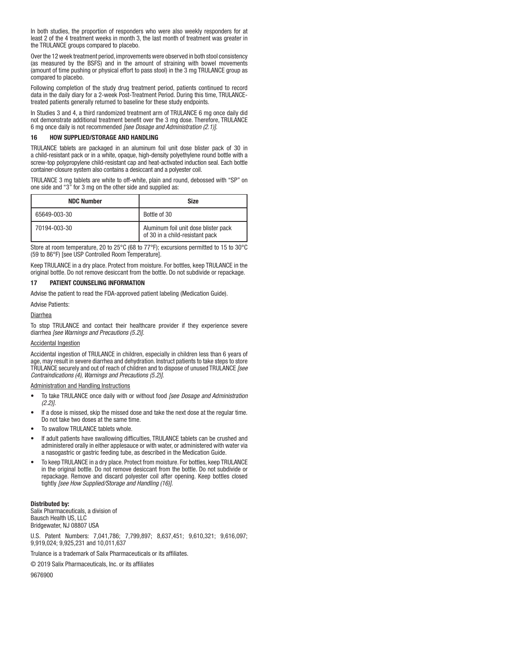In both studies, the proportion of responders who were also weekly responders for at least 2 of the 4 treatment weeks in month 3, the last month of treatment was greater in the TRULANCE groups compared to placebo.

Over the 12 week treatment period, improvements were observed in both stool consistency (as measured by the BSFS) and in the amount of straining with bowel movements (amount of time pushing or physical effort to pass stool) in the 3 mg TRULANCE group as compared to placebo.

Following completion of the study drug treatment period, patients continued to record data in the daily diary for a 2-week Post-Treatment Period. During this time, TRULANCEtreated patients generally returned to baseline for these study endpoints.

not demonstrate additional treatment benefit over the 3 mg dose. Therefore, TRULANCE In Studies 3 and 4, a third randomized treatment arm of TRULANCE 6 mg once daily did 6 mg once daily is not recommended [see Dosage and Administration (2.1)].

#### 16 HOW SUPPLIED/STORAGE AND HANDLING

 a child-resistant pack or in a white, opaque, high-density polyethylene round bottle with a screw-top polypropylene child-resistant cap and heat-activated induction seal. Each bottle TRULANCE tablets are packaged in an aluminum foil unit dose blister pack of 30 in container-closure system also contains a desiccant and a polyester coil.

TRULANCE 3 mg tablets are white to off-white, plain and round, debossed with "SP" on one side and "3" for 3 mg on the other side and supplied as:

| <b>NDC Number</b> | <b>Size</b>                                                             |
|-------------------|-------------------------------------------------------------------------|
| 65649-003-30      | Bottle of 30                                                            |
| 70194-003-30      | Aluminum foil unit dose blister pack<br>of 30 in a child-resistant pack |

Store at room temperature, 20 to 25°C (68 to 77°F); excursions permitted to 15 to 30°C (59 to 86°F) [see USP Controlled Room Temperature].

 Keep TRULANCE in a dry place. Protect from moisture. For bottles, keep TRULANCE in the original bottle. Do not remove desiccant from the bottle. Do not subdivide or repackage.

#### 17 PATIENT COUNSELING INFORMATION

Advise the patient to read the FDA-approved patient labeling (Medication Guide).

#### Advise Patients:

#### Diarrhea

To stop TRULANCE and contact their healthcare provider if they experience severe diarrhea [see Warnings and Precautions (5.2)].

#### Accidental Ingestion

Accidental ingestion of TRULANCE in children, especially in children less than 6 years of age, may result in severe diarrhea and dehydration. Instruct patients to take steps to store TRULANCE securely and out of reach of children and to dispose of unused TRULANCE [see Contraindications (4), Warnings and Precautions (5.2)].

#### Administration and Handling Instructions

- To take TRULANCE once daily with or without food *[see Dosage and Administration*]  $(2.2)$ ].
- If a dose is missed, skip the missed dose and take the next dose at the regular time. Do not take two doses at the same time.
- To swallow TRULANCE tablets whole.
- If adult patients have swallowing difficulties, TRULANCE tablets can be crushed and administered orally in either applesauce or with water, or administered with water via a nasogastric or gastric feeding tube, as described in the Medication Guide.
- To keep TRULANCE in a dry place. Protect from moisture. For bottles, keep TRULANCE in the original bottle. Do not remove desiccant from the bottle. Do not subdivide or repackage. Remove and discard polyester coil after opening. Keep bottles closed tightly [see How Supplied/Storage and Handling (16)].

#### Distributed by:

Salix Pharmaceuticals, a division of Bausch Health US, LLC Bridgewater, NJ 08807 USA

U.S. Patent Numbers: 7,041,786; 7,799,897; 8,637,451; 9,610,321; 9,616,097; 9,919,024; 9,925,231 and 10,011,637

Trulance is a trademark of Salix Pharmaceuticals or its affliates.

© 2019 Salix Pharmaceuticals, Inc. or its affliates

9676900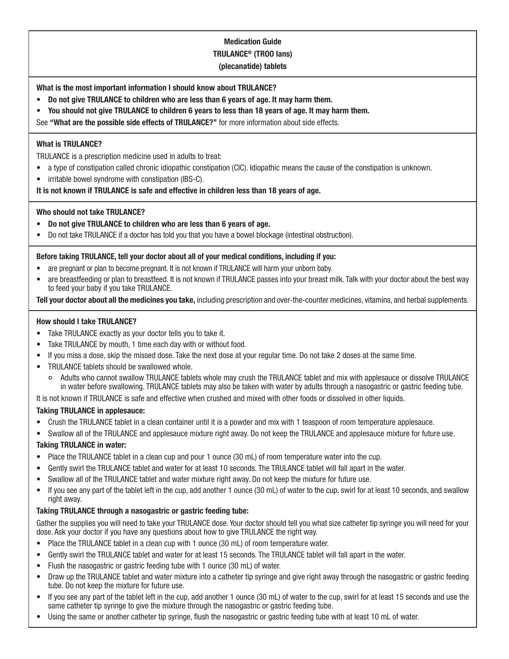# Medication Guide TRULANCE® (TROO lans) (plecanatide) tablets

What is the most important information I should know about TRULANCE?

- $\bullet$ • Do not give TRULANCE to children who are less than 6 years of age. It may harm them.
- $\bullet$ • You should not give TRULANCE to children 6 years to less than 18 years of age. It may harm them.

See "What are the possible side effects of TRULANCE?" for more information about side effects.

# What is TRULANCE?

TRULANCE is a prescription medicine used in adults to treat:

- a type of constipation called chronic idiopathic constipation (CIC). Idiopathic means the cause of the constipation is unknown.
- irritable bowel syndrome with constipation (IBS-C).

It is not known if TRULANCE is safe and effective in children less than 18 years of age.

# Who should not take TRULANCE?

- Do not give TRULANCE to children who are less than 6 years of age.
- Do not take TRULANCE if a doctor has told you that you have a bowel blockage (intestinal obstruction).

# Before taking TRULANCE, tell your doctor about all of your medical conditions, including if you:

- are pregnant or plan to become pregnant. It is not known if TRULANCE will harm your unborn baby.
- are breastfeeding or plan to breastfeed. It is not known if TRULANCE passes into your breast milk. Talk with your doctor about the best way to feed your baby if you take TRULANCE.

Tell your doctor about all the medicines you take, including prescription and over-the-counter medicines, vitamins, and herbal supplements.

# How should I take TRULANCE?

- Take TRULANCE exactly as your doctor tells you to take it.
- Take TRULANCE by mouth, 1 time each day with or without food.
- If you miss a dose, skip the missed dose. Take the next dose at your regular time. Do not take 2 doses at the same time.
- TRULANCE tablets should be swallowed whole.
	- $\circ$ Adults who cannot swallow TRULANCE tablets whole may crush the TRULANCE tablet and mix with applesauce or dissolve TRULANCE in water before swallowing. TRULANCE tablets may also be taken with water by adults through a nasogastric or gastric feeding tube.

It is not known if TRULANCE is safe and effective when crushed and mixed with other foods or dissolved in other liquids.

# Taking TRULANCE in applesauce:

- Crush the TRULANCE tablet in a clean container until it is a powder and mix with 1 teaspoon of room temperature applesauce.
- Swallow all of the TRULANCE and applesauce mixture right away. Do not keep the TRULANCE and applesauce mixture for future use.

# Taking TRULANCE in water:

- Place the TRULANCE tablet in a clean cup and pour 1 ounce (30 mL) of room temperature water into the cup.
- Gently swirl the TRULANCE tablet and water for at least 10 seconds. The TRULANCE tablet will fall apart in the water.
- Swallow all of the TRULANCE tablet and water mixture right away. Do not keep the mixture for future use.
- If you see any part of the tablet left in the cup, add another 1 ounce (30 mL) of water to the cup, swirl for at least 10 seconds, and swallow right away.

# Taking TRULANCE through a nasogastric or gastric feeding tube:

Gather the supplies you will need to take your TRULANCE dose. Your doctor should tell you what size catheter tip syringe you will need for your dose. Ask your doctor if you have any questions about how to give TRULANCE the right way.

- Place the TRULANCE tablet in a clean cup with 1 ounce (30 mL) of room temperature water.
- Gently swirl the TRULANCE tablet and water for at least 15 seconds. The TRULANCE tablet will fall apart in the water.
- Flush the nasogastric or gastric feeding tube with 1 ounce (30 mL) of water.
- Draw up the TRULANCE tablet and water mixture into a catheter tip syringe and give right away through the nasogastric or gastric feeding tube. Do not keep the mixture for future use.
- If you see any part of the tablet left in the cup, add another 1 ounce (30 mL) of water to the cup, swirl for at least 15 seconds and use the same catheter tip syringe to give the mixture through the nasogastric or gastric feeding tube.
- Using the same or another catheter tip syringe, fush the nasogastric or gastric feeding tube with at least 10 mL of water.